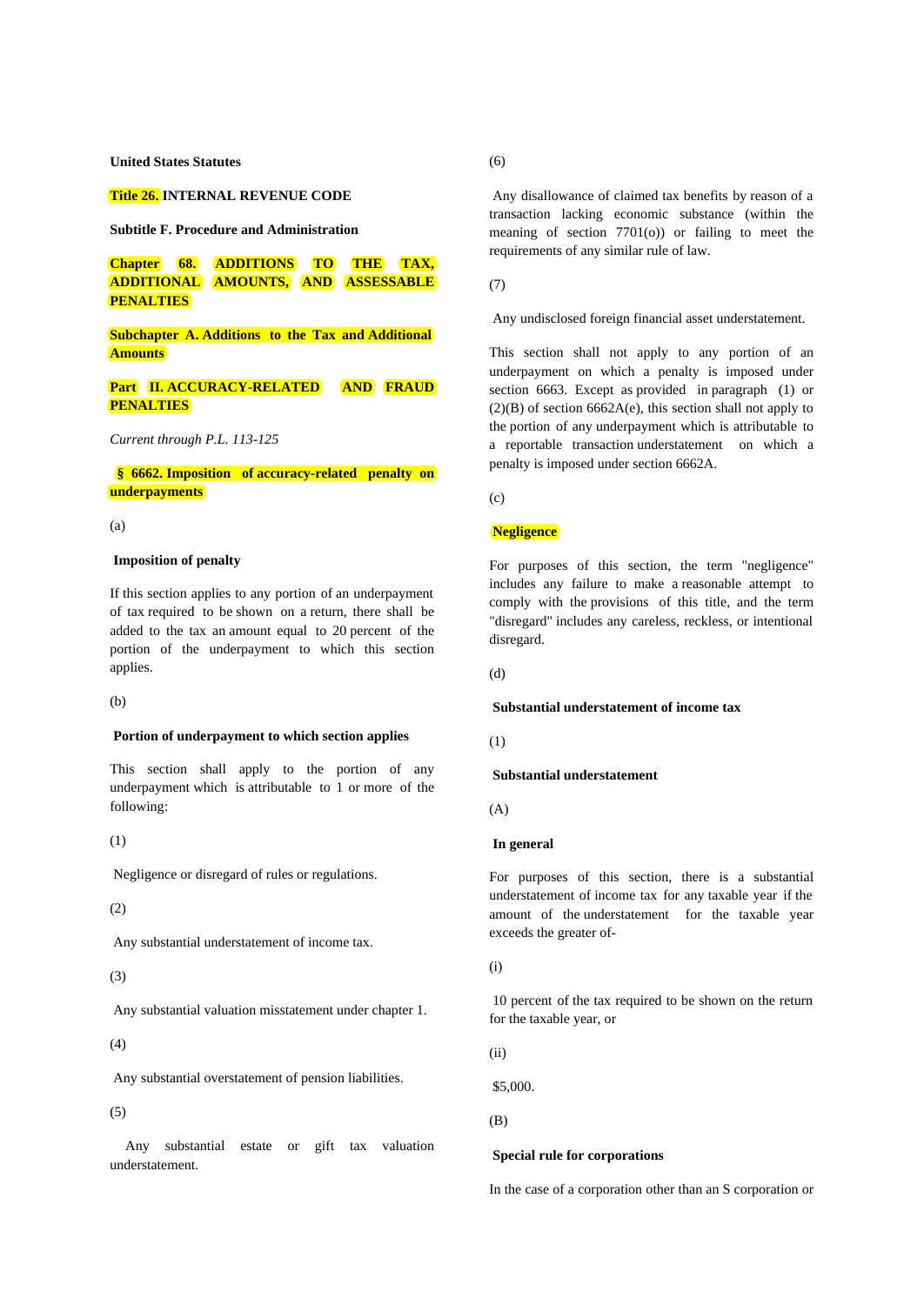**United States Statutes**

**Title 26. INTERNAL REVENUE CODE**

**Subtitle F. Procedure and Administration**

**Chapter 68. ADDITIONS TO THE TAX, ADDITIONAL AMOUNTS, AND ASSESSABLE PENALTIES**

**Subchapter A. Additions to the Tax and Additional Amounts**

# **Part II. ACCURACY-RELATED AND FRAUD PENALTIES**

*Current through P.L. 113-125*

## **§ 6662. Imposition of accuracy-related penalty on underpayments**

(a)

### **Imposition of penalty**

If this section applies to any portion of an underpayment of tax required to be shown on a return, there shall be added to the tax an amount equal to 20 percent of the portion of the underpayment to which this section applies.

(b)

### **Portion of underpayment to which section applies**

This section shall apply to the portion of any underpayment which is attributable to 1 or more of the following:

(1)

Negligence or disregard of rules or regulations.

(2)

Any substantial understatement of income tax.

(3)

Any substantial valuation misstatement under chapter 1.

(4)

Any substantial overstatement of pension liabilities.

(5)

Any substantial estate or gift tax valuation understatement.

(6)

 Any disallowance of claimed tax benefits by reason of a transaction lacking economic substance (within the meaning of section  $7701(0)$  or failing to meet the requirements of any similar rule of law.

(7)

Any undisclosed foreign financial asset understatement.

This section shall not apply to any portion of an underpayment on which a penalty is imposed under section 6663. Except as provided in paragraph (1) or  $(2)(B)$  of section 6662A(e), this section shall not apply to the portion of any underpayment which is attributable to a reportable transaction understatement on which a penalty is imposed under section 6662A.

 $(c)$ 

# **Negligence**

For purposes of this section, the term "negligence" includes any failure to make a reasonable attempt to comply with the provisions of this title, and the term "disregard" includes any careless, reckless, or intentional disregard.

(d)

#### **Substantial understatement of income tax**

(1)

### **Substantial understatement**

(A)

## **In general**

For purposes of this section, there is a substantial understatement of income tax for any taxable year if the amount of the understatement for the taxable year exceeds the greater of-

(i)

 10 percent of the tax required to be shown on the return for the taxable year, or

(ii)

\$5,000.

(B)

#### **Special rule for corporations**

In the case of a corporation other than an S corporation or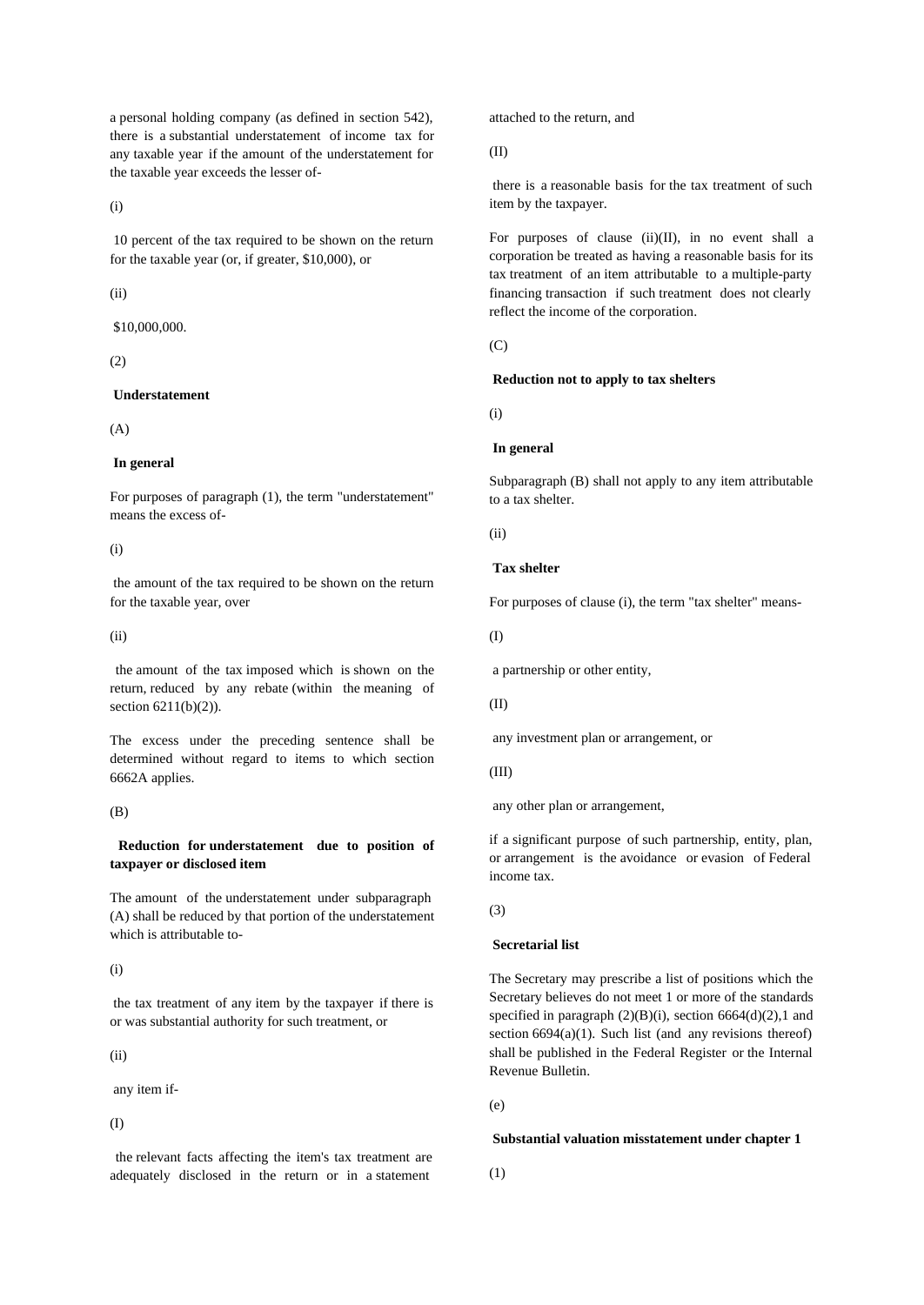a personal holding company (as defined in section 542), there is a substantial understatement of income tax for any taxable year if the amount of the understatement for the taxable year exceeds the lesser of-

(i)

 10 percent of the tax required to be shown on the return for the taxable year (or, if greater, \$10,000), or

(ii)

\$10,000,000.

(2)

### **Understatement**

 $(A)$ 

## **In general**

For purposes of paragraph (1), the term "understatement" means the excess of-

(i)

 the amount of the tax required to be shown on the return for the taxable year, over

 $(ii)$ 

the amount of the tax imposed which is shown on the return, reduced by any rebate (within the meaning of section 6211(b)(2)).

The excess under the preceding sentence shall be determined without regard to items to which section 6662A applies.

(B)

**Reduction for understatement due to position of taxpayer or disclosed item**

The amount of the understatement under subparagraph (A) shall be reduced by that portion of the understatement which is attributable to-

(i)

 the tax treatment of any item by the taxpayer if there is or was substantial authority for such treatment, or

(ii)

any item if-

(I)

the relevant facts affecting the item's tax treatment are adequately disclosed in the return or in a statement

attached to the return, and

(II)

 there is a reasonable basis for the tax treatment of such item by the taxpayer.

For purposes of clause (ii)(II), in no event shall a corporation be treated as having a reasonable basis for its tax treatment of an item attributable to a multiple-party financing transaction if such treatment does not clearly reflect the income of the corporation.

 $(C)$ 

### **Reduction not to apply to tax shelters**

(i)

## **In general**

Subparagraph (B) shall not apply to any item attributable to a tax shelter.

(ii)

# **Tax shelter**

For purposes of clause (i), the term "tax shelter" means-

(I)

a partnership or other entity,

(II)

any investment plan or arrangement, or

(III)

any other plan or arrangement,

if a significant purpose of such partnership, entity, plan, or arrangement is the avoidance or evasion of Federal income tax.

(3)

## **Secretarial list**

The Secretary may prescribe a list of positions which the Secretary believes do not meet 1 or more of the standards specified in paragraph  $(2)(B)(i)$ , section 6664 $(d)(2)$ ,1 and section  $6694(a)(1)$ . Such list (and any revisions thereof) shall be published in the Federal Register or the Internal Revenue Bulletin.

(e)

## **Substantial valuation misstatement under chapter 1**

(1)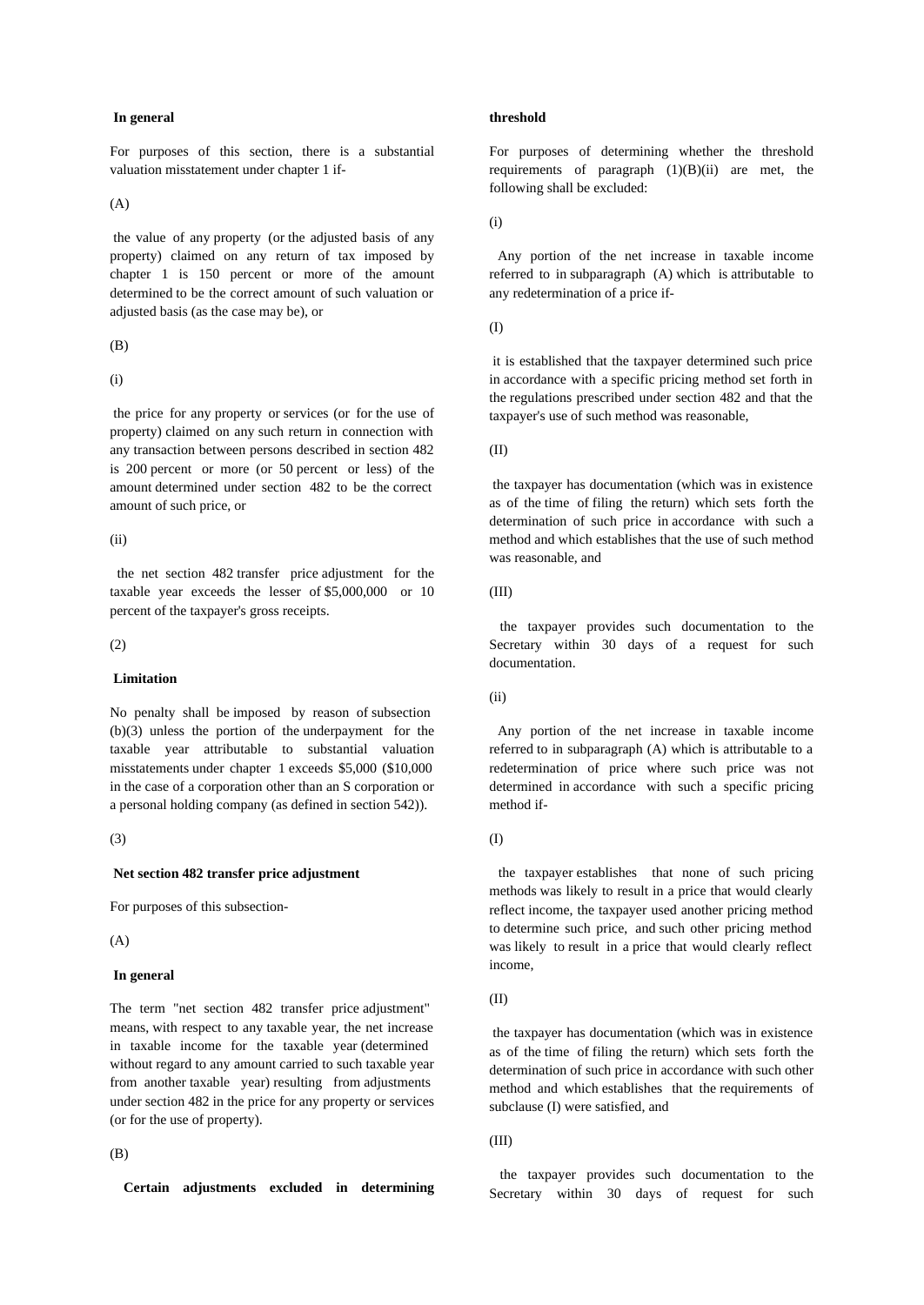#### **In general**

For purposes of this section, there is a substantial valuation misstatement under chapter 1 if-

(A)

 the value of any property (or the adjusted basis of any property) claimed on any return of tax imposed by chapter 1 is 150 percent or more of the amount determined to be the correct amount of such valuation or adjusted basis (as the case may be), or

(B)

(i)

 the price for any property or services (or for the use of property) claimed on any such return in connection with any transaction between persons described in section 482 is 200 percent or more (or 50 percent or less) of the amount determined under section 482 to be the correct amount of such price, or

(ii)

the net section 482 transfer price adjustment for the taxable year exceeds the lesser of \$5,000,000 or 10 percent of the taxpayer's gross receipts.

(2)

### **Limitation**

No penalty shall be imposed by reason of subsection (b)(3) unless the portion of the underpayment for the taxable year attributable to substantial valuation misstatements under chapter 1 exceeds \$5,000 (\$10,000 in the case of a corporation other than an S corporation or a personal holding company (as defined in section 542)).

### (3)

#### **Net section 482 transfer price adjustment**

For purposes of this subsection-

(A)

#### **In general**

The term "net section 482 transfer price adjustment" means, with respect to any taxable year, the net increase in taxable income for the taxable year (determined without regard to any amount carried to such taxable year from another taxable year) resulting from adjustments under section 482 in the price for any property or services (or for the use of property).

### (B)

**Certain adjustments excluded in determining**

#### **threshold**

For purposes of determining whether the threshold requirements of paragraph  $(1)(B)(ii)$  are met, the following shall be excluded:

(i)

Any portion of the net increase in taxable income referred to in subparagraph (A) which is attributable to any redetermination of a price if-

(I)

 it is established that the taxpayer determined such price in accordance with a specific pricing method set forth in the regulations prescribed under section 482 and that the taxpayer's use of such method was reasonable,

(II)

 the taxpayer has documentation (which was in existence as of the time of filing the return) which sets forth the determination of such price in accordance with such a method and which establishes that the use of such method was reasonable, and

(III)

the taxpayer provides such documentation to the Secretary within 30 days of a request for such documentation.

(ii)

Any portion of the net increase in taxable income referred to in subparagraph (A) which is attributable to a redetermination of price where such price was not determined in accordance with such a specific pricing method if-

(I)

the taxpayer establishes that none of such pricing methods was likely to result in a price that would clearly reflect income, the taxpayer used another pricing method to determine such price, and such other pricing method was likely to result in a price that would clearly reflect income,

(II)

 the taxpayer has documentation (which was in existence as of the time of filing the return) which sets forth the determination of such price in accordance with such other method and which establishes that the requirements of subclause (I) were satisfied, and

(III)

the taxpayer provides such documentation to the Secretary within 30 days of request for such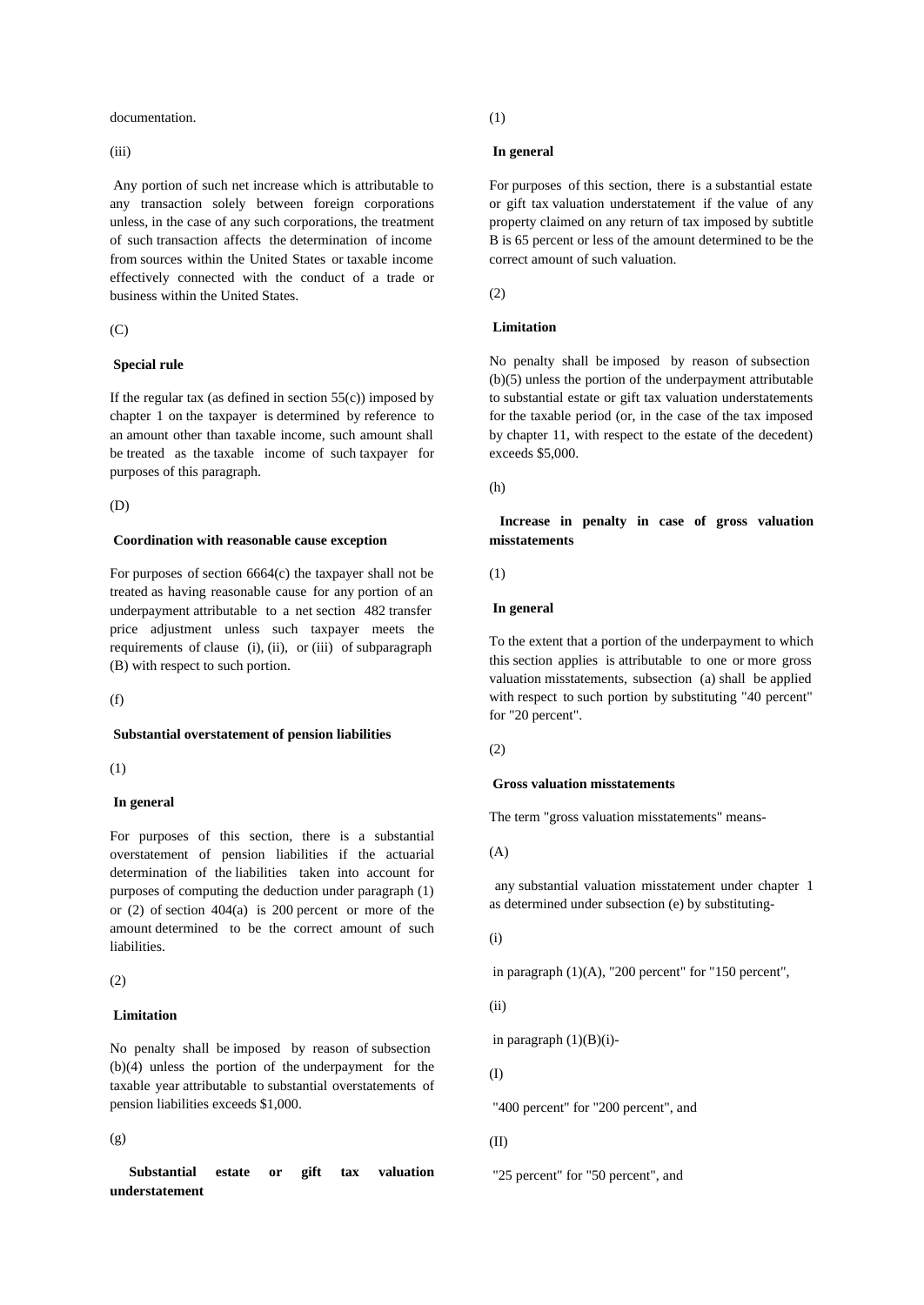documentation.

(iii)

 Any portion of such net increase which is attributable to any transaction solely between foreign corporations unless, in the case of any such corporations, the treatment of such transaction affects the determination of income from sources within the United States or taxable income effectively connected with the conduct of a trade or business within the United States.

 $(C)$ 

#### **Special rule**

If the regular tax (as defined in section  $55(c)$ ) imposed by chapter 1 on the taxpayer is determined by reference to an amount other than taxable income, such amount shall be treated as the taxable income of such taxpayer for purposes of this paragraph.

(D)

#### **Coordination with reasonable cause exception**

For purposes of section 6664(c) the taxpayer shall not be treated as having reasonable cause for any portion of an underpayment attributable to a net section 482 transfer price adjustment unless such taxpayer meets the requirements of clause (i), (ii), or (iii) of subparagraph (B) with respect to such portion.

 $(f)$ 

#### **Substantial overstatement of pension liabilities**

(1)

#### **In general**

For purposes of this section, there is a substantial overstatement of pension liabilities if the actuarial determination of the liabilities taken into account for purposes of computing the deduction under paragraph (1) or (2) of section 404(a) is 200 percent or more of the amount determined to be the correct amount of such liabilities.

(2)

## **Limitation**

No penalty shall be imposed by reason of subsection (b)(4) unless the portion of the underpayment for the taxable year attributable to substantial overstatements of pension liabilities exceeds \$1,000.

(g)

**Substantial estate or gift tax valuation** "25 percent" for "50 percent", and**understatement**

(1)

#### **In general**

For purposes of this section, there is a substantial estate or gift tax valuation understatement if the value of any property claimed on any return of tax imposed by subtitle B is 65 percent or less of the amount determined to be the correct amount of such valuation.

 $(2)$ 

# **Limitation**

No penalty shall be imposed by reason of subsection (b)(5) unless the portion of the underpayment attributable to substantial estate or gift tax valuation understatements for the taxable period (or, in the case of the tax imposed by chapter 11, with respect to the estate of the decedent) exceeds \$5,000.

(h)

**Increase in penalty in case of gross valuation misstatements**

(1)

### **In general**

To the extent that a portion of the underpayment to which this section applies is attributable to one or more gross valuation misstatements, subsection (a) shall be applied with respect to such portion by substituting "40 percent" for "20 percent".

(2)

#### **Gross valuation misstatements**

The term "gross valuation misstatements" means-

(A)

any substantial valuation misstatement under chapter 1 as determined under subsection (e) by substituting-

(i)

in paragraph (1)(A), "200 percent" for "150 percent",

(ii)

in paragraph  $(1)(B)(i)$ -

(I)

"400 percent" for "200 percent", and

#### (II)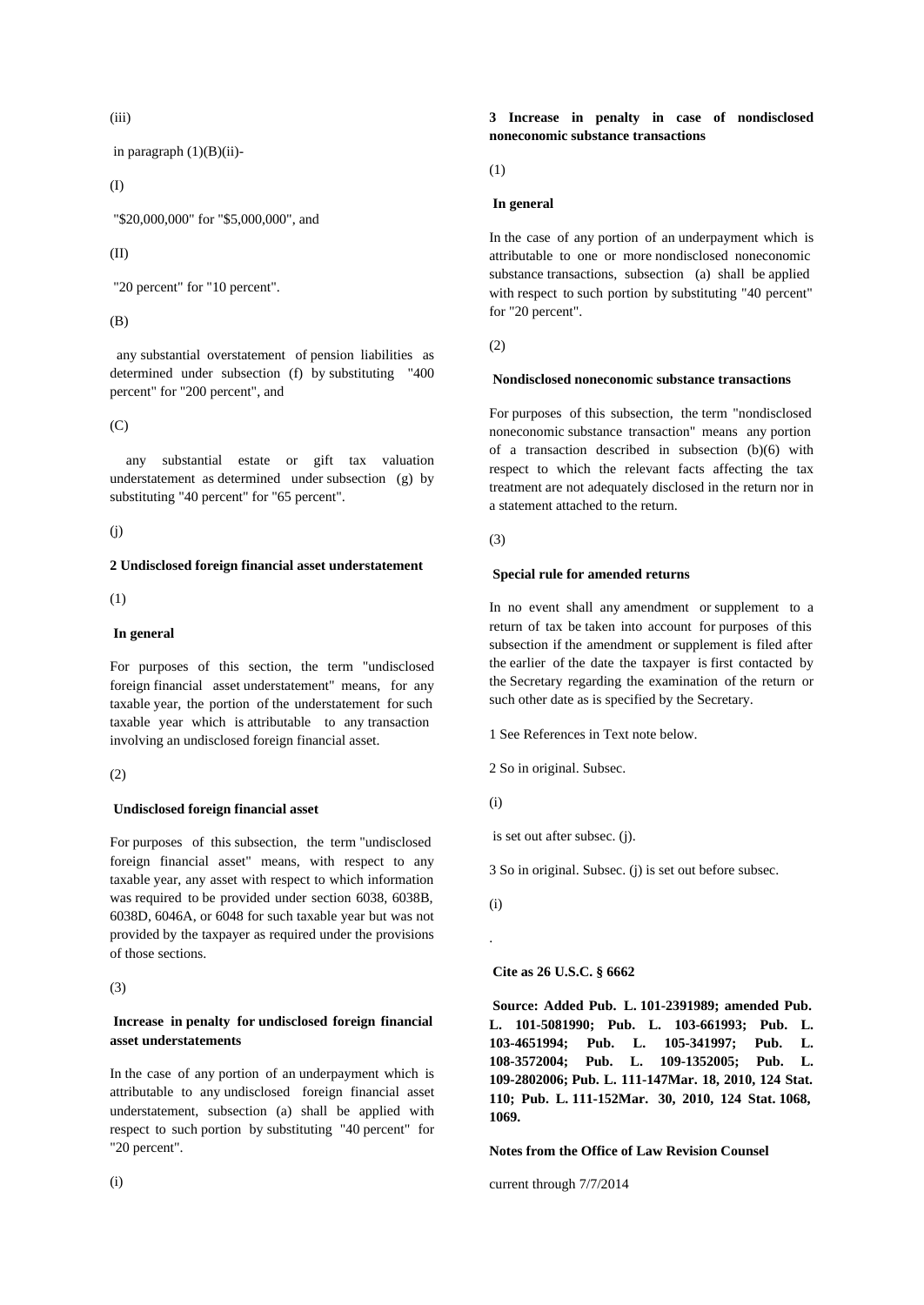(iii)

in paragraph  $(1)(B)(ii)$ -

(I)

"\$20,000,000" for "\$5,000,000", and

### (II)

"20 percent" for "10 percent".

## (B)

any substantial overstatement of pension liabilities as determined under subsection (f) by substituting "400 percent" for "200 percent", and

(C)<br>any substantial estate or gift tax valuation understatement as determined under subsection (g) by substituting "40 percent" for "65 percent".

 $(i)$ 

### **2 Undisclosed foreign financial asset understatement**

(1)

## **In general**

For purposes of this section, the term "undisclosed foreign financial asset understatement" means, for any taxable year, the portion of the understatement for such taxable year which is attributable to any transaction involving an undisclosed foreign financial asset.

(2)

## **Undisclosed foreign financial asset**

For purposes of this subsection, the term "undisclosed foreign financial asset" means, with respect to any taxable year, any asset with respect to which information was required to be provided under section 6038, 6038B, 6038D, 6046A, or 6048 for such taxable year but was not provided by the taxpayer as required under the provisions of those sections.

(3)

# **Increase in penalty for undisclosed foreign financial asset understatements**

In the case of any portion of an underpayment which is attributable to any undisclosed foreign financial asset understatement, subsection (a) shall be applied with respect to such portion by substituting "40 percent" for "20 percent".

# **3 Increase in penalty in case of nondisclosed noneconomic substance transactions**

(1)

## **In general**

In the case of any portion of an underpayment which is attributable to one or more nondisclosed noneconomic substance transactions, subsection (a) shall be applied with respect to such portion by substituting "40 percent" for "20 percent".

(2)

### **Nondisclosed noneconomic substance transactions**

For purposes of this subsection, the term "nondisclosed noneconomic substance transaction" means any portion of a transaction described in subsection (b)(6) with respect to which the relevant facts affecting the tax treatment are not adequately disclosed in the return nor in a statement attached to the return.

(3)

## **Special rule for amended returns**

In no event shall any amendment or supplement to a return of tax be taken into account for purposes of this subsection if the amendment or supplement is filed after the earlier of the date the taxpayer is first contacted by the Secretary regarding the examination of the return or such other date as is specified by the Secretary.

1 See References in Text note below.

2 So in original. Subsec.

(i)

is set out after subsec. (j).

3 So in original. Subsec. (j) is set out before subsec.

(i)

.

## **Cite as 26 U.S.C. § 6662**

 **Source: Added Pub. L. 101-2391989; amended Pub. L. 101-5081990; Pub. L. 103-661993; Pub. L. 103-4651994; Pub. L. 105-341997; Pub. L. 108-3572004; Pub. L. 109-1352005; Pub. L. 109-2802006; Pub. L. 111-147Mar. 18, 2010, 124 Stat. 110; Pub. L. 111-152Mar. 30, 2010, 124 Stat. 1068, 1069.**

# **Notes from the Office of Law Revision Counsel**

current through 7/7/2014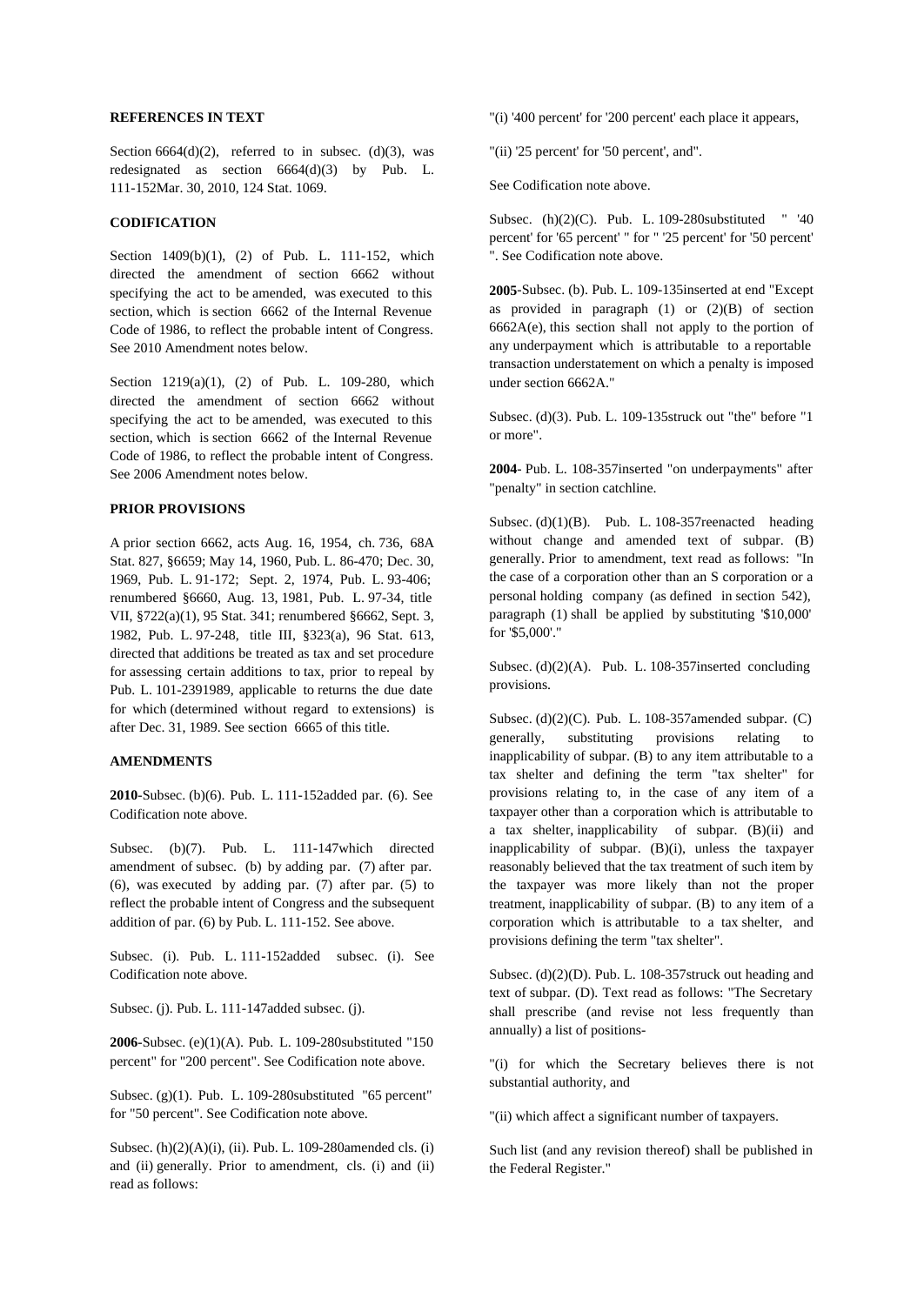#### **REFERENCES IN TEXT**

Section  $6664(d)(2)$ , referred to in subsec. (d)(3), was redesignated as section 6664(d)(3) by Pub. L. 111-152Mar. 30, 2010, 124 Stat. 1069.

### **CODIFICATION**

Section 1409(b)(1), (2) of Pub. L. 111-152, which directed the amendment of section 6662 without specifying the act to be amended, was executed to this section, which is section 6662 of the Internal Revenue Code of 1986, to reflect the probable intent of Congress. See 2010 Amendment notes below.

Section 1219(a)(1), (2) of Pub. L. 109-280, which directed the amendment of section 6662 without specifying the act to be amended, was executed to this section, which is section 6662 of the Internal Revenue Code of 1986, to reflect the probable intent of Congress. See 2006 Amendment notes below.

### **PRIOR PROVISIONS**

A prior section 6662, acts Aug. 16, 1954, ch. 736, 68A Stat. 827, §6659; May 14, 1960, Pub. L. 86-470; Dec. 30, 1969, Pub. L. 91-172; Sept. 2, 1974, Pub. L. 93-406; renumbered §6660, Aug. 13, 1981, Pub. L. 97-34, title VII, §722(a)(1), 95 Stat. 341; renumbered §6662, Sept. 3, 1982, Pub. L. 97-248, title III, §323(a), 96 Stat. 613, directed that additions be treated as tax and set procedure for assessing certain additions to tax, prior to repeal by Pub. L. 101-2391989, applicable to returns the due date for which (determined without regard to extensions) is after Dec. 31, 1989. See section 6665 of this title.

### **AMENDMENTS**

**2010**-Subsec. (b)(6). Pub. L. 111-152added par. (6). See Codification note above.

Subsec. (b)(7). Pub. L. 111-147which directed amendment of subsec. (b) by adding par. (7) after par. (6), was executed by adding par. (7) after par. (5) to reflect the probable intent of Congress and the subsequent addition of par. (6) by Pub. L. 111-152. See above.

Subsec. (i). Pub. L. 111-152added subsec. (i). See Codification note above.

Subsec. (j). Pub. L. 111-147added subsec. (j).

**2006**-Subsec. (e)(1)(A). Pub. L. 109-280substituted "150 percent" for "200 percent". See Codification note above.

Subsec. (g)(1). Pub. L. 109-280substituted "65 percent" for "50 percent". See Codification note above.

Subsec. (h)(2)(A)(i), (ii). Pub. L. 109-280amended cls. (i) and (ii) generally. Prior to amendment, cls. (i) and (ii) read as follows:

"(i) '400 percent' for '200 percent' each place it appears,

"(ii) '25 percent' for '50 percent', and".

See Codification note above.

Subsec. (h)(2)(C). Pub. L. 109-280substituted " '40 percent' for '65 percent' " for " '25 percent' for '50 percent' ". See Codification note above.

**2005**-Subsec. (b). Pub. L. 109-135inserted at end "Except as provided in paragraph  $(1)$  or  $(2)(B)$  of section  $6662A(e)$ , this section shall not apply to the portion of any underpayment which is attributable to a reportable transaction understatement on which a penalty is imposed under section 6662A."

Subsec. (d)(3). Pub. L. 109-135struck out "the" before "1 or more".

**2004**- Pub. L. 108-357inserted "on underpayments" after "penalty" in section catchline.

Subsec. (d)(1)(B). Pub. L. 108-357 reenacted heading without change and amended text of subpar. (B) generally. Prior to amendment, text read as follows: "In the case of a corporation other than an S corporation or a personal holding company (as defined in section 542), paragraph (1) shall be applied by substituting '\$10,000' for '\$5,000'."

Subsec. (d)(2)(A). Pub. L. 108-357inserted concluding provisions.

Subsec. (d)(2)(C). Pub. L. 108-357amended subpar. (C) generally, substituting provisions relating to inapplicability of subpar. (B) to any item attributable to a tax shelter and defining the term "tax shelter" for provisions relating to, in the case of any item of a taxpayer other than a corporation which is attributable to a tax shelter, inapplicability of subpar. (B)(ii) and inapplicability of subpar. (B)(i), unless the taxpayer reasonably believed that the tax treatment of such item by the taxpayer was more likely than not the proper treatment, inapplicability of subpar. (B) to any item of a corporation which is attributable to a tax shelter, and provisions defining the term "tax shelter".

Subsec. (d)(2)(D). Pub. L. 108-357struck out heading and text of subpar. (D). Text read as follows: "The Secretary shall prescribe (and revise not less frequently than annually) a list of positions-

"(i) for which the Secretary believes there is not substantial authority, and

"(ii) which affect a significant number of taxpayers.

Such list (and any revision thereof) shall be published in the Federal Register."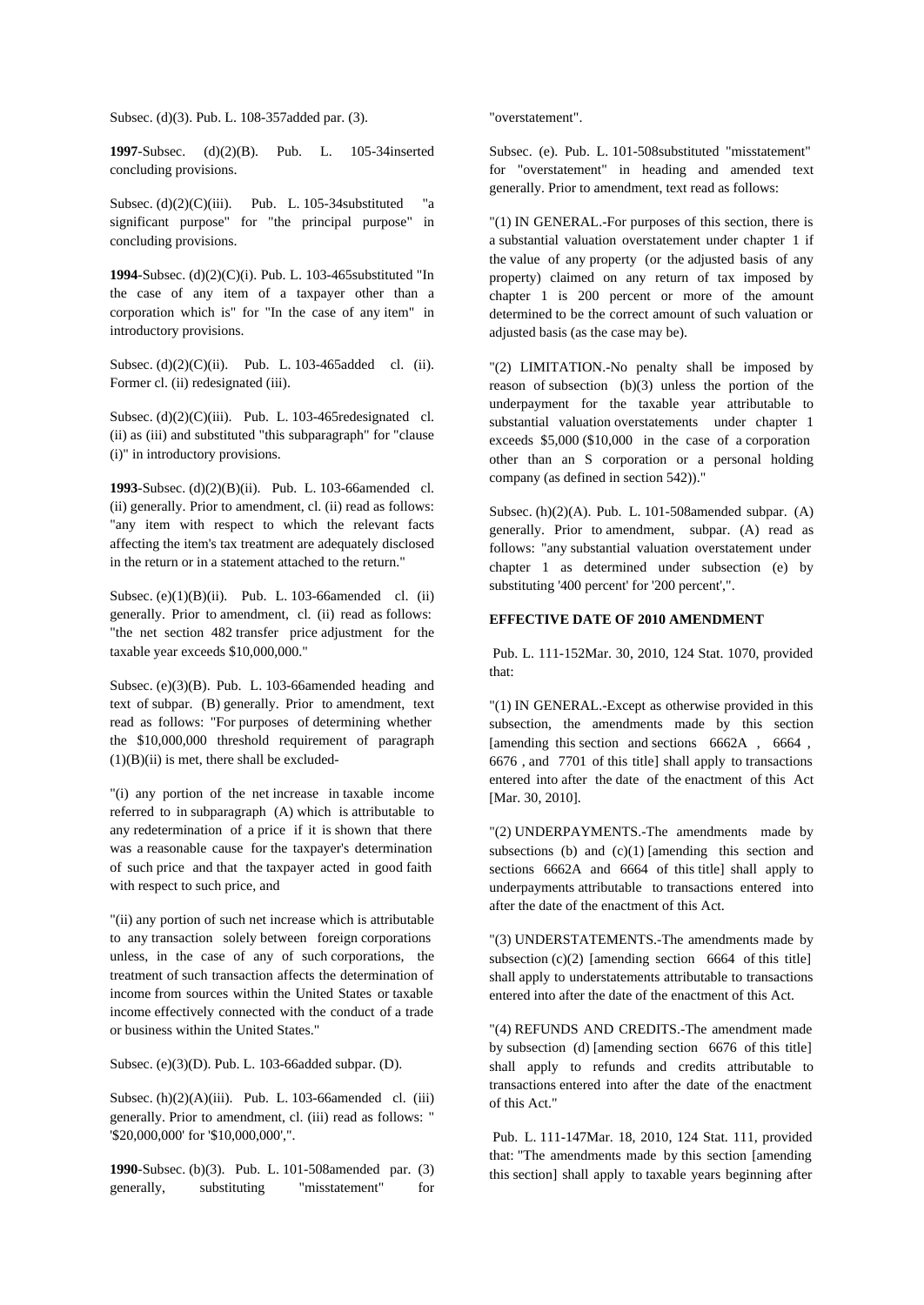Subsec. (d)(3). Pub. L. 108-357added par. (3).

**1997**-Subsec. (d)(2)(B). Pub. L. 105-34inserted concluding provisions.

Subsec.  $(d)(2)(C)(iii)$ . Pub. L. 105-34 substituted "a significant purpose" for "the principal purpose" in concluding provisions.

**1994**-Subsec. (d)(2)(C)(i). Pub. L. 103-465substituted "In the case of any item of a taxpayer other than a corporation which is" for"In the case of any item" in introductory provisions.

Subsec. (d)(2)(C)(ii). Pub. L. 103-465added cl. (ii). Former cl. (ii) redesignated (iii).

Subsec.  $(d)(2)(C)(iii)$ . Pub. L. 103-465 redesignated cl. (ii) as (iii) and substituted "this subparagraph" for "clause (i)" in introductory provisions.

**1993**-Subsec. (d)(2)(B)(ii). Pub. L. 103-66amended cl. (ii) generally. Prior to amendment, cl. (ii) read as follows: "any item with respect to which the relevant facts affecting the item's tax treatment are adequately disclosed in the return or in a statement attached to the return."

Subsec. (e) $(1)(B)(ii)$ . Pub. L. 103-66amended cl. (ii) generally. Prior to amendment, cl. (ii) read as follows: "the net section 482 transfer price adjustment for the taxable year exceeds \$10,000,000."

Subsec. (e)(3)(B). Pub. L. 103-66amended heading and text of subpar. (B) generally. Prior to amendment, text read as follows: "For purposes of determining whether the \$10,000,000 threshold requirement of paragraph  $(1)(B)(ii)$  is met, there shall be excluded-

"(i) any portion of the net increase in taxable income referred to in subparagraph (A) which is attributable to any redetermination of a price if it is shown that there was a reasonable cause for the taxpayer's determination of such price and that the taxpayer acted in good faith with respect to such price, and

"(ii) any portion of such net increase which is attributable to any transaction solely between foreign corporations unless, in the case of any of such corporations, the treatment of such transaction affects the determination of income from sources within the United States or taxable income effectively connected with the conduct of a trade or business within the United States."

Subsec. (e)(3)(D). Pub. L. 103-66added subpar. (D).

Subsec.  $(h)(2)(A)(iii)$ . Pub. L. 103-66amended cl. (iii) generally. Prior to amendment, cl. (iii) read as follows: " '\$20,000,000' for '\$10,000,000',".

**1990**-Subsec. (b)(3). Pub. L. 101-508amended par. (3) generally, substituting "misstatement" for

"overstatement".

Subsec. (e). Pub. L. 101-508substituted "misstatement" for "overstatement" in heading and amended text generally. Prior to amendment, text read as follows:

"(1) IN GENERAL.-For purposes of this section, there is a substantial valuation overstatement under chapter 1 if the value of any property (or the adjusted basis of any property) claimed on any return of tax imposed by chapter 1 is 200 percent or more of the amount determined to be the correct amount of such valuation or adjusted basis (as the case may be).

"(2) LIMITATION.-No penalty shall be imposed by reason of subsection (b)(3) unless the portion of the underpayment for the taxable year attributable to substantial valuation overstatements under chapter 1 exceeds \$5,000 (\$10,000 in the case of a corporation other than an S corporation or a personal holding company (as defined in section 542))."

Subsec. (h)(2)(A). Pub. L. 101-508amended subpar. (A) generally. Prior to amendment, subpar. (A) read as follows: "any substantial valuation overstatement under chapter  $1$  as determined under subsection (e) by substituting '400 percent' for '200 percent',".

## **EFFECTIVE DATE OF 2010 AMENDMENT**

 Pub. L. 111-152Mar. 30, 2010, 124 Stat. 1070, provided that:

"(1) IN GENERAL.-Except as otherwise provided in this subsection, the amendments made by this section [amending this section and sections 6662A , 6664 , 6676 , and 7701 of this title] shall apply to transactions entered into after the date of the enactment of this Act [Mar. 30, 2010].

"(2) UNDERPAYMENTS.-The amendments made by subsections (b) and  $(c)(1)$  [amending this section and sections 6662A and 6664 of this title] shall apply to underpayments attributable to transactions entered into after the date of the enactment of this Act.

"(3) UNDERSTATEMENTS.-The amendments made by subsection  $(c)(2)$  [amending section 6664 of this title] shall apply to understatements attributable to transactions entered into after the date of the enactment of this Act.

"(4) REFUNDS AND CREDITS.-The amendment made by subsection (d) [amending section 6676 of this title] shall apply to refunds and credits attributable to transactions entered into after the date of the enactment of this Act."

 Pub. L. 111-147Mar. 18, 2010, 124 Stat. 111, provided that: "The amendments made by this section [amending this section] shall apply to taxable years beginning after